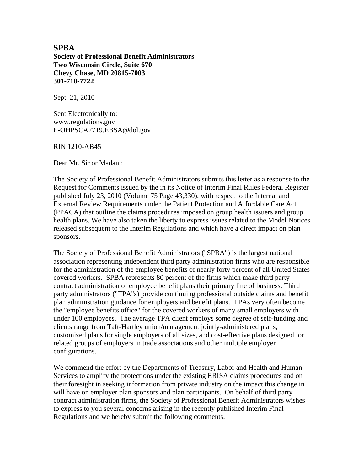# **SPBA Society of Professional Benefit Administrators Two Wisconsin Circle, Suite 670 Chevy Chase, MD 20815-7003 301-718-7722**

Sept. 21, 2010

Sent Electronically to: www.regulations.gov E-OHPSCA2719.EBSA@dol.gov

RIN 1210-AB45

Dear Mr. Sir or Madam:

The Society of Professional Benefit Administrators submits this letter as a response to the Request for Comments issued by the in its Notice of Interim Final Rules Federal Register published July 23, 2010 (Volume 75 Page 43,330), with respect to the Internal and External Review Requirements under the Patient Protection and Affordable Care Act (PPACA) that outline the claims procedures imposed on group health issuers and group health plans. We have also taken the liberty to express issues related to the Model Notices released subsequent to the Interim Regulations and which have a direct impact on plan sponsors.

The Society of Professional Benefit Administrators ("SPBA") is the largest national association representing independent third party administration firms who are responsible for the administration of the employee benefits of nearly forty percent of all United States covered workers. SPBA represents 80 percent of the firms which make third party contract administration of employee benefit plans their primary line of business. Third party administrators ("TPA"s) provide continuing professional outside claims and benefit plan administration guidance for employers and benefit plans. TPAs very often become the "employee benefits office" for the covered workers of many small employers with under 100 employees. The average TPA client employs some degree of self-funding and clients range from Taft-Hartley union/management jointly-administered plans, customized plans for single employers of all sizes, and cost-effective plans designed for related groups of employers in trade associations and other multiple employer configurations.

We commend the effort by the Departments of Treasury, Labor and Health and Human Services to amplify the protections under the existing ERISA claims procedures and on their foresight in seeking information from private industry on the impact this change in will have on employer plan sponsors and plan participants. On behalf of third party contract administration firms, the Society of Professional Benefit Administrators wishes to express to you several concerns arising in the recently published Interim Final Regulations and we hereby submit the following comments.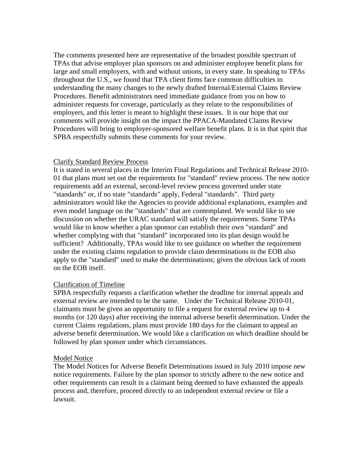The comments presented here are representative of the broadest possible spectrum of TPAs that advise employer plan sponsors on and administer employee benefit plans for large and small employers, with and without unions, in every state. In speaking to TPAs throughout the U.S., we found that TPA client firms face common difficulties in understanding the many changes to the newly drafted Internal/External Claims Review Procedures. Benefit administrators need immediate guidance from you on how to administer requests for coverage, particularly as they relate to the responsibilities of employers, and this letter is meant to highlight these issues. It is our hope that our comments will provide insight on the impact the PPACA-Mandated Claims Review Procedures will bring to employer-sponsored welfare benefit plans. It is in that spirit that SPBA respectfully submits these comments for your review.

# Clarify Standard Review Process

It is stated in several places in the Interim Final Regulations and Technical Release 2010- 01 that plans must set out the requirements for "standard" review process. The new notice requirements add an external, second-level review process governed under state "standards" or, if no state "standards" apply, Federal "standards". Third party administrators would like the Agencies to provide additional explanations, examples and even model language on the "standards" that are contemplated. We would like to see discussion on whether the URAC standard will satisfy the requirements. Some TPAs would like to know whether a plan sponsor can establish their own "standard" and whether complying with that "standard" incorporated into its plan design would be sufficient? Additionally, TPAs would like to see guidance on whether the requirement under the existing claims regulation to provide claim determinations in the EOB also apply to the "standard" used to make the determinations; given the obvious lack of room on the EOB itself.

# Clarification of Timeline

SPBA respectfully requests a clarification whether the deadline for internal appeals and external review are intended to be the same. Under the Technical Release 2010-01, claimants must be given an opportunity to file a request for external review up to 4 months (or 120 days) after receiving the internal adverse benefit determination. Under the current Claims regulations, plans must provide 180 days for the claimant to appeal an adverse benefit determination. We would like a clarification on which deadline should be followed by plan sponsor under which circumstances.

# Model Notice

The Model Notices for Adverse Benefit Determinations issued in July 2010 impose new notice requirements. Failure by the plan sponsor to strictly adhere to the new notice and other requirements can result in a claimant being deemed to have exhausted the appeals process and, therefore, proceed directly to an independent external review or file a lawsuit.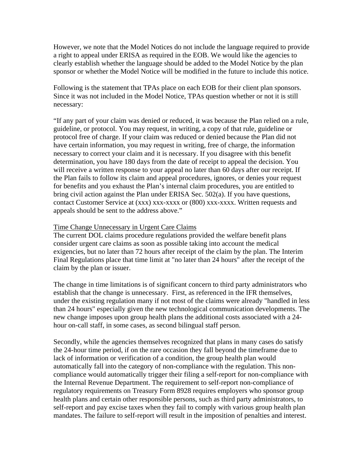However, we note that the Model Notices do not include the language required to provide a right to appeal under ERISA as required in the EOB. We would like the agencies to clearly establish whether the language should be added to the Model Notice by the plan sponsor or whether the Model Notice will be modified in the future to include this notice.

Following is the statement that TPAs place on each EOB for their client plan sponsors. Since it was not included in the Model Notice, TPAs question whether or not it is still necessary:

"If any part of your claim was denied or reduced, it was because the Plan relied on a rule, guideline, or protocol. You may request, in writing, a copy of that rule, guideline or protocol free of charge. If your claim was reduced or denied because the Plan did not have certain information, you may request in writing, free of charge, the information necessary to correct your claim and it is necessary. If you disagree with this benefit determination, you have 180 days from the date of receipt to appeal the decision. You will receive a written response to your appeal no later than 60 days after our receipt. If the Plan fails to follow its claim and appeal procedures, ignores, or denies your request for benefits and you exhaust the Plan's internal claim procedures, you are entitled to bring civil action against the Plan under ERISA Sec. 502(a). If you have questions, contact Customer Service at (xxx) xxx-xxxx or (800) xxx-xxxx. Written requests and appeals should be sent to the address above."

### Time Change Unnecessary in Urgent Care Claims

The current DOL claims procedure regulations provided the welfare benefit plans consider urgent care claims as soon as possible taking into account the medical exigencies, but no later than 72 hours after receipt of the claim by the plan. The Interim Final Regulations place that time limit at "no later than 24 hours" after the receipt of the claim by the plan or issuer.

The change in time limitations is of significant concern to third party administrators who establish that the change is unnecessary. First, as referenced in the IFR themselves, under the existing regulation many if not most of the claims were already "handled in less than 24 hours" especially given the new technological communication developments. The new change imposes upon group health plans the additional costs associated with a 24 hour on-call staff, in some cases, as second bilingual staff person.

Secondly, while the agencies themselves recognized that plans in many cases do satisfy the 24-hour time period, if on the rare occasion they fall beyond the timeframe due to lack of information or verification of a condition, the group health plan would automatically fall into the category of non-compliance with the regulation. This noncompliance would automatically trigger their filing a self-report for non-compliance with the Internal Revenue Department. The requirement to self-report non-compliance of regulatory requirements on Treasury Form 8928 requires employers who sponsor group health plans and certain other responsible persons, such as third party administrators, to self-report and pay excise taxes when they fail to comply with various group health plan mandates. The failure to self-report will result in the imposition of penalties and interest.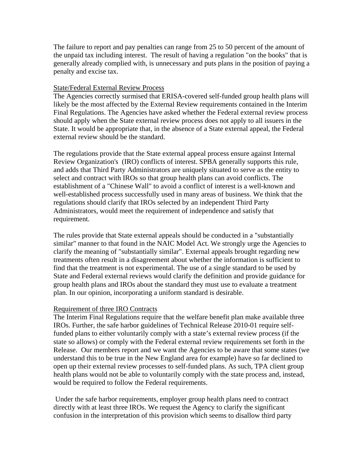The failure to report and pay penalties can range from 25 to 50 percent of the amount of the unpaid tax including interest. The result of having a regulation "on the books" that is generally already complied with, is unnecessary and puts plans in the position of paying a penalty and excise tax.

# State/Federal External Review Process

The Agencies correctly surmised that ERISA-covered self-funded group health plans will likely be the most affected by the External Review requirements contained in the Interim Final Regulations. The Agencies have asked whether the Federal external review process should apply when the State external review process does not apply to all issuers in the State. It would be appropriate that, in the absence of a State external appeal, the Federal external review should be the standard.

The regulations provide that the State external appeal process ensure against Internal Review Organization's (IRO) conflicts of interest. SPBA generally supports this rule, and adds that Third Party Administrators are uniquely situated to serve as the entity to select and contract with IROs so that group health plans can avoid conflicts. The establishment of a "Chinese Wall" to avoid a conflict of interest is a well-known and well-established process successfully used in many areas of business. We think that the regulations should clarify that IROs selected by an independent Third Party Administrators, would meet the requirement of independence and satisfy that requirement.

The rules provide that State external appeals should be conducted in a "substantially similar" manner to that found in the NAIC Model Act. We strongly urge the Agencies to clarify the meaning of "substantially similar". External appeals brought regarding new treatments often result in a disagreement about whether the information is sufficient to find that the treatment is not experimental. The use of a single standard to be used by State and Federal external reviews would clarify the definition and provide guidance for group health plans and IROs about the standard they must use to evaluate a treatment plan. In our opinion, incorporating a uniform standard is desirable.

# Requirement of three IRO Contracts

The Interim Final Regulations require that the welfare benefit plan make available three IROs. Further, the safe harbor guidelines of Technical Release 2010-01 require selffunded plans to either voluntarily comply with a state's external review process (if the state so allows) or comply with the Federal external review requirements set forth in the Release. Our members report and we want the Agencies to be aware that some states (we understand this to be true in the New England area for example) have so far declined to open up their external review processes to self-funded plans. As such, TPA client group health plans would not be able to voluntarily comply with the state process and, instead, would be required to follow the Federal requirements.

 Under the safe harbor requirements, employer group health plans need to contract directly with at least three IROs. We request the Agency to clarify the significant confusion in the interpretation of this provision which seems to disallow third party